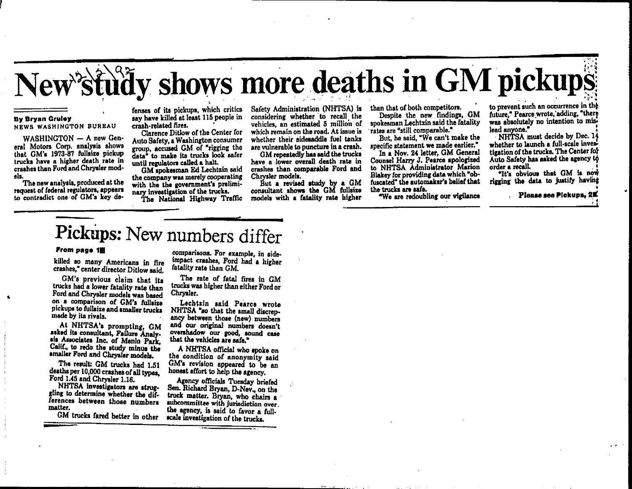# New'study shows more deaths in GM pickups

#### **By Brvan Gruley**

NEWS WASHINGTON BUREAU

WASHINGTON - A new General Motors Corp. analysis shows that GM's 1973-87 fullsize pickup trucks have a higher death rate in crashes than Ford and Chrysler models.

The new analysis, produced at the request of federal regulators, appears to contradict one of GM's key de-

fenses of its pickups, which critics say have killed at least 115 people in crash-related fires.

Clarence Ditlow of the Center for Auto Safety. a Washington consumer group, accused GM of "rigging the data" to make its trucks look safer until regulators called a halt.

GM spokesman Ed Lechtzin said the company was merely cooperating with the the government's preliminary investigation of the trucks.

The National Highway Traffic

Safety Administration (NHTSA) is considering whether to recall the vehicles, an estimated 5 million of which remain on the road. At issue is whether their sidesaddle fuel tanks are vulnerable to puncture in a crash.

GM repeatedly has said the trucks have a lower overall death rate in crashes than comparable Ford and Chrysler models.

But a revised study by a GM consultant shows the GM fullsize models with a fatality rate higher than that of both competitors.

Despite the new findings, GM spokesman Lechtzin said the fatality rates are "still comparable."

But, he said. "We can't make the specific statement we made earlier."

In a Nov. 24 letter, GM General Counsel Harry J. Pearce apologized to NHTSA Administrator Marion Blakey for providing data which "obfuscated" the automaker's belief that the trucks are safe.

"We are redoubling our vigilance

to prevent such an occurrence in the future," Pearce wrote, adding. "there was absolutely no intention to mislead anyone."

NHTSA must decide by Dec. 14 whether to launch a full-scale investigation of the trucks. The Center for Auto Safety has asked the agency to order a recall.

"It's obvious that GM is now rigging the data to justify having

Please see Plokups, 2K

## Pickups: New numbers differ

#### From page 1E

killed so many Americans in fire crashes," center director Ditlow said.

GM's previous claim that its trucks had a lower fatality rate than Ford and Chrysler models was based on a comparison of GM's fullaize pickups to fullaize and smaller trucks made by its rivals.

At NHTSA's prompting, GM asked its consultant, Failure Analysis Associates Inc. of Menlo Park. Calif., to redo the study minus the smaller Ford and Chrysler models.

The result: GM trucks had 1.51 deaths per 10,000 crashes of all types. Ford 1.45 and Chrysler 1.16.

NHTSA investigators are struggling to determine whether the differences between those numbers matter.

GM trucks fared better in other

comparisons. For example, in sideimpact crashes. Ford had a higher fatality rate than GM.

The rate of fatal fires in GM trucks was higher than either Ford or Chrysler.

Lechtzin said Pearce wrote NHTSA "so that the small discrepancy between those (new) numbers and our original numbers doesn't overshadow our good, sound case that the vehicles are safe."

A NHTSA official who spoke on the condition of anonymity said GM's revision appeared to be an honest effort to help the agency.

Agency officials Tuesday briefed Sen. Richard Bryan, D-Nev., on the truck matter. Brvan, who chairs a subcommittee with jurisdiction over. the agency, is said to favor a fullscale investigation of the trucks.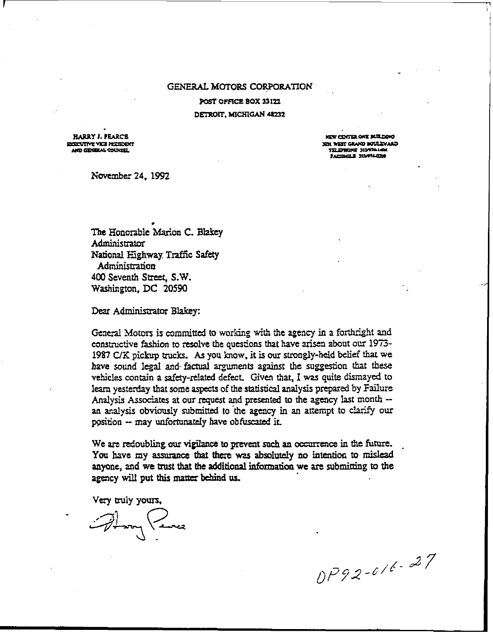#### GENERAL MOTORS CORPORATION

POST OFFICE BOX 33122 DETROIT, MICHIGAN 48232

**HARRY J. PEARCS** ECCOUTIVE VICE PRESIDENT AND GENERAL COUNSEL

**NEW CENTER ONE BUILDING** CALACTION OWAS TEN ICE TELEPHONE 313474-L40 **JACIDEEE JIMT4-000** 

November 24, 1992

The Honorable Marion C. Blakey Administrator National Highway Traffic Safety Administration 400 Seventh Street, S.W. Washington, DC 20590

Dear Administrator Blakey:

General Motors is committed to working with the agency in a forthright and constructive fashion to resolve the questions that have arisen about our 1973-1987 C/K pickup trucks. As you know, it is our strongly-held belief that we have sound legal and factual arguments against the suggestion that these vehicles contain a safety-related defect. Given that, I was quite dismayed to learn yesterday that some aspects of the statistical analysis prepared by Failure Analysis Associates at our request and presented to the agency last month -an analysis obviously submitted to the agency in an attempt to clarify our position -- may unfortunately have obfuscated it.

We are redoubling our vigilance to prevent such an occurrence in the future. You have my assurance that there was absolutely no intention to mislead anyone, and we trust that the additional information we are submitting to the agency will put this matter behind us.

Very truly yours,

Form Years

DP92-016-27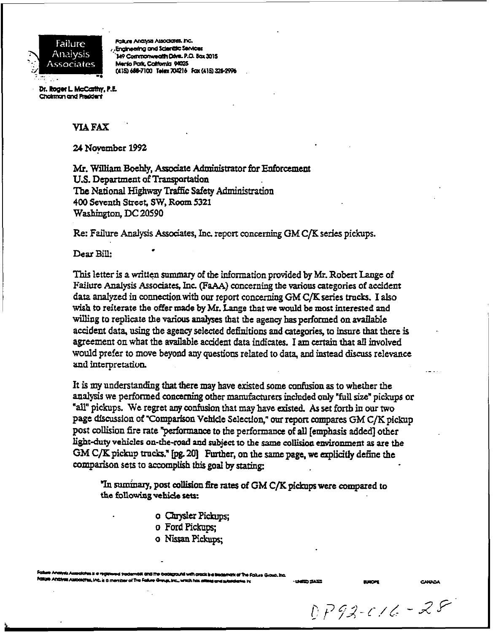

Falture Analysis Associates, Inc. . Engineering and Scientific Services 149 Commonwealth Dave, P.O. Box 3015 Menio Park, Catronia 94025 (415) 688-7100 Telex 704216 Fax (415) 328-2996

Dr. Roger L. McCarthy, P.E. Choiman and President

#### **YIA FAX**

*24* **Noycmbcr** *1992* 

**Mr. William Boehly, Associate Administrator for Enforcement U.S. Department of Transportation** The National Highway Traffic Safety Administration **400 Smntb Street, SW, Room <sup>5321</sup> Washington, DC** *20590* 

Re: **Failure Analysis** Aaodates, **Inc. repcrt** concernkg GM **C/K series** pickups. **Dear Bill:** .

This letter is a written summary of the information provided by Mr. Robert Lange of Failure Analysis Associates, Inc. (FaAA) concerning the various categories of accident dat;? analyzed in connectionwith **our** report concerning GM **C/Kseries** *trucks.* **I** also wish to reiterate the offer made by Mr. Lange that we would be most interested and willing to replicate **the various analyses** that the agency has performed **on** mailable accident data, *using* the agency selected definitions and **categories,** to **insure** that **there** is agreement **on** what the available accident **data** indicates. I **am** *Ctrtain* **that all involved**  would prefer to move beyond any questions related to data, and instead discuss relevance **and** intrrprctatiuu

It is *my* understanding **that** there **may have** existed *some* confuson **as** to whether **the analysis we** performed concerning other manufamea included *only* "full *size"* pickups or **"all"** pickups. We regret *any* **confusion that may have** existed. As *set* **forth** in **our two**  page **discussion** of **"Comparison** Vehicle **Sclectloq"** *our reporr* **mmpares GM** *C/K* pickup post collision fire rate "performance to the performance of all [emphasis added] other **light-duty vehicles on-rhe-road d subject IO the same** colIicion **Cmrironment as** are **the GM** *C/K* **pickup** trucks." Ip& **201 Further,** on the *same* page, **we cxpliatty de&** the **comparison sets** *to* **accomplish** *this* god **by** *stating:* 

"In *Surninary,* **post** *collision* &e rates **of GM** *C/K* **pickups were** compared **to the following vehicle sets:** 

- **o** Chrysler Pickups;
- **o** Ford Pickups;
- *0* **NsraaPickupq**

holk and the bookground with crock is a trademark of The Follure Group, Inc. Fallure Analysis Associates, Inc. is a member of The Fallure Greya, Inc., which has all

**HARD SACT** 

 $DP92-c16 - 28$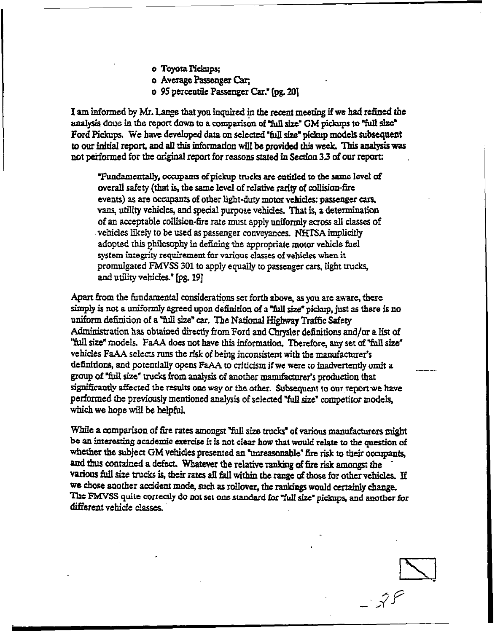- o Toyota Pickups:
- o Average Passenger Car:
- o 95 percentile Passenger Car." fog. 201

I am informed by Mr. Lange that you inquired in the recent meeting if we had refined the analysis done in the report down to a comparison of "full size" GM pickups to "full size" Ford Pickups. We have developed data on selected "full size" pickup models subsequent to our initial report, and all this information will be provided this week. This analysis was not performed for the original report for reasons stated in Section 3.3 of our report:

"Fundamentally, occupants of pickup trucks are entitled to the same level of overall safety (that is, the same level of relative rarity of collision-fire events) as are occupants of other light-duty motor vehicles: passenger cars, vans, utility vehicles, and special purpose vehicles. That is, a determination of an acceptable collision-fire rate must apply uniformly across all classes of vehicles likely to be used as passenger conveyances. NHTSA implicitly adopted this philosophy in defining the appropriate motor vehicle fuel system integrity requirement for various classes of vehicles when it promulgated FMVSS 301 to apply equally to passenger cars, light trucks, and utility vehicles." [pg. 19]

Apart from the fundamental considerations set forth above, as you are aware, there simply is not a uniformly agreed upon definition of a "full size" pickup, just as there is no uniform definition of a "full size" car. The National Highway Traffic Safety Administration has obtained directly from Ford and Chrysler definitions and/or a list of "full size" models. FaAA does not have this information. Therefore, any set of "full size" vehicles FaAA selects runs the risk of being inconsistent with the manufacturer's definitions, and potentially opens FaAA to criticism if we were to inadvertently omit a group of "full size" trucks from analysis of another manufacturer's production that significantly affected the results one way or the other. Subsequent to our report we have performed the previously mentioned analysis of selected "full size" competitor models. which we hope will be helpful.

While a comparison of fire rates amongst "full size trucks" of various manufacturers might be an interesting academic exercise it is not clear how that would relate to the question of whether the subject GM vehicles presented an "unreasonable" fire risk to their occupants, and thus contained a defect. Whatever the relative ranking of fire risk amongst the various full size trucks is, their rates all fall within the range of those for other vehicles. If we chose another accident mode, such as rollover, the rankings would certainly change. The FMVSS quite correctly do not set one standard for "full size" pickups, and another for different vehicle classes.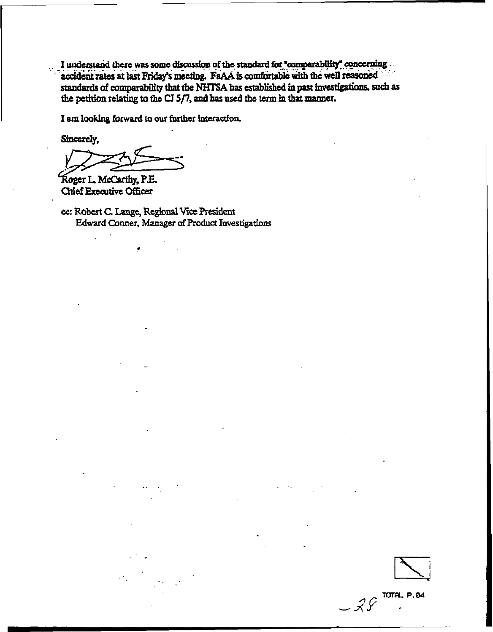I understand there was some discussion of the standard for "comparability" concerning accident rates at last Friday's meeting. FaAA is comfortable with the well reasoned standards of comparability that the NHTSA has established in past investigations, such as the petition relating to the  $CJ$  5/7, and has used the term in that manner.

I am looking forward to our further interaction.

Sincerely.

Roger L. McCarthy, P.E. Chief Executive Officer

cc: Robert C. Lange, Regional Vice President Edward Conner, Manager of Product Investigations

 $-25$  TOTAL P.84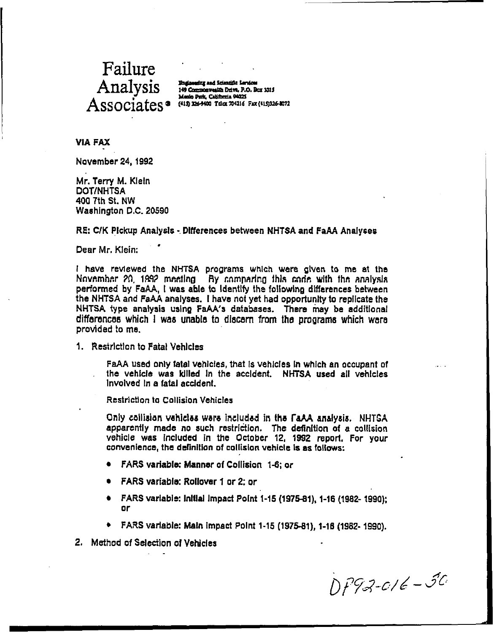### Failure Analysis Associates @ (415) 2064400 TELEX TAX (415)326-2072

Bagineering and ficientific fervious 149 Commonwealth Drive, P.O. Box 3015 Menio Park, California 94025

**VIA FAX** 

November 24, 1992

Mr. Terry M. Klein **DOT/NHTSA** 400 7th St. NW Washington D.C. 20590

RE: C/K Pickup Analysis - Differences between NHTSA and FaAA Analyses

Dear Mr. Klein:

I have reviewed the NHTSA programs which were given to me at the November 20, 1992 meeting. By comparing this code with the analysis performed by FaAA, I was able to Identify the following differences between the NHTSA and FaAA analyses. I have not yet had opportunity to replicate the NHTSA type analysis using FaAA's databases. There may be additional differences which I was unable to discern from the programs which were provided to me.

1. Restriction to Fatal Vehicles

FaAA used only fatal vehicles, that is vehicles in which an occupant of the vehicle was killed in the accident. NHTSA used all vehicles Involved in a fatal accident.

Restriction to Collision Vehicles

Only collision vehicles were included in the FaAA analysis. NHTGA apparently made no such restriction. The definition of a collision vehicle was included in the October 12, 1992 report, For your convenience, the definition of collision vehicle is as follows:

- FARS variable: Manner of Collision 1-6; or
- **FARS variable: Rollover 1 or 2: or**
- FARS variable: Initial Impact Point 1-15 (1975-81), 1-16 (1982- 1990); or
- FARS variable: Main impact Point 1-15 (1975-81), 1-16 (1982- 1990).
- 2. Method of Selection of Vehicles

DP92-016-50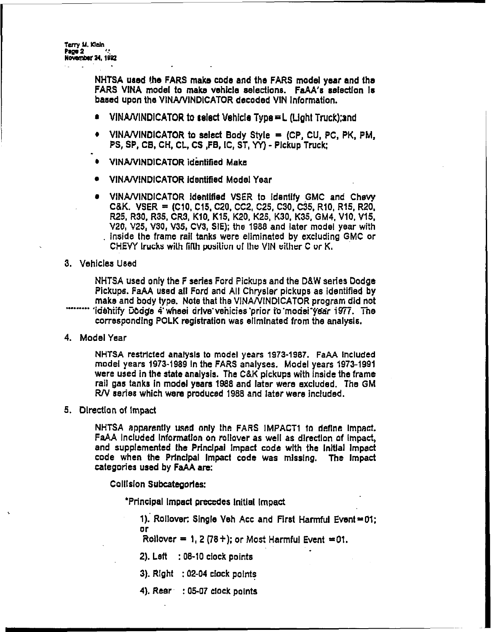Terry M. Klein Page 2 **November 24, 1922** 

> NHTSA used the FARS make code and the FARS model year and the FARS VINA model to make vehicle selections. FaAA's selection is based upon the VINA/VINDICATOR decoded VIN Information.

- VINA/VINDICATOR to select Vehicle Type = L (Light Truck):and
- VINA/VINDICATOR to select Body Style = (CP, CU, PC, PK, PM, PS, SP, CB, CH, CL, CS, FB, IC, ST, YY) - Pickup Truck:
- VINA/VINDICATOR identified Make
- VINA/VINDICATOR identified Model Year
- VINA/VINDICATOR identified VSER to identify GMC and Chevy C&K. VSER = (C10, C15, C20, CC2, C25, C30, C35, R10, R15, R20, R25, R30, R35, CR3, K10, K15, K20, K25, K30, K35, GM4, V10, V15, V20, V25, V30, V35, CV3, SIE); the 1988 and later model year with inside the frame rail tanks were eliminated by excluding GMC or CHEVY trucks with fifth position of the VIN either C or K.
- 3. Vehicles Used

NHTSA used only the F series Ford Pickups and the D&W series Dodge Pickups. FaAA used all Ford and All Chrysler pickups as identified by make and body type. Note that the VINA/VINDICATOR program did not 'idehtify Dodge 4' wheel drive vehicles prior to model year 1977. The corresponding POLK registration was eliminated from the analysis.

4. Model Year

NHTSA restricted analysis to model years 1973-1987. FaAA included model years 1973-1989 In the FARS analyses. Model years 1973-1991 were used in the state analysis. The C&K pickups with inside the frame rail gas tanks in model years 1988 and later were excluded. The GM R/V series which were produced 1988 and later were included.

5. Direction of impact

NHTSA apparently used only the FARS IMPACT1 to define impact. FaAA included information on rollover as well as direction of impact, and supplemented the Principal impact code with the initial impact code when the Principal Impact code was missing. The Impact categories used by FaAA are:

**Collision Subcategories:** 

\*Principal Impact precedes Initial Impact

1). Rollover: Single Veh Acc and First Harmful Event = 01;  $or$ 

Rollover =  $1, 2(78+)$ ; or Most Harmful Event = 01.

- 2). Left  $\therefore$  08-10 clock points
- 3).  $Right : 02-04$  clock points
- 4). Rear : 05-07 clock points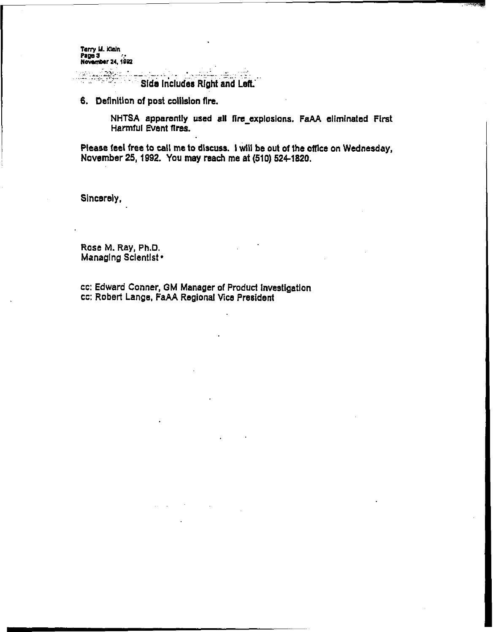Terry M. Kieln Page 3<br>November 24, 1992

> e in the seasonaire  $\mathcal{F} \in \mathbb{R}^{n \times n}$ Side Includes Right and Left.

**6.** Definition of post collision fire.

**NHTSA apparently used all fire explosions. FaAA eliminated First Harmful Event fires.** 

**Please feel free to** tell **me to dlscuss.** I wlll **be out** of **the office on Wednesday, November 25,1992. You may reach me at (510) 524-1820.** 

**Sincerely,** 

**Rase M. Ray, PkD. Managlng Sclentlst** 

**CC: Edward Conner, OM Manager of Produd Investigation CC: Robert Lange, FaAA Regional** Vice **President**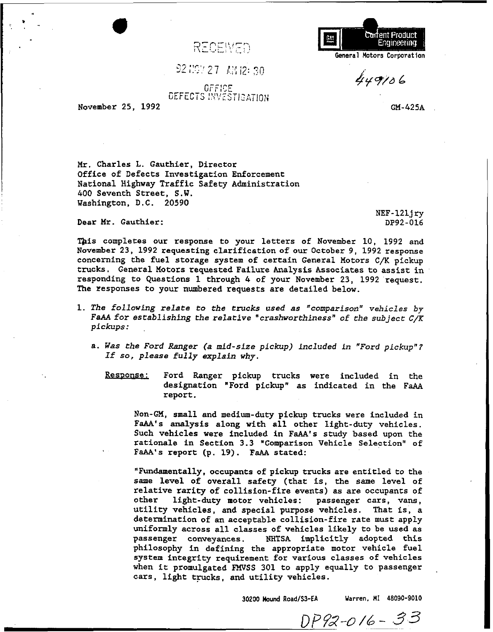RECEIVED

Carrent Product Engineering **teneral Motors Corporation** 

 $449106$ 

OFFICE **DEFECTS INVESTIGATION** 

 $9219727$   $1312:30$ 

**November 25, 1992** 

. ..

**GM-425A** 

*Mr.* **Charles L. Gauthier, Director Office of Defects Investigation Enforcement National Highway Traffic Safety Administration 400 Seventh Street, S.W. Washington, D.C. 20590** 

**Dear Mr. Gauthier:** 

**NEF-12lj** *ry*  **DP92-016** 

This completes our response to your letters of November 10, 1992 and **November 23, 1992 requesting clarification of our October 9, 1992 response concerning the fuel storage system of certain General Motors C/K pickup trucks. General Motors requested Failure Analysis Associates to assist in responding to Questions 1 through 4 of your November 23, 1992 request. The responses to your numbered requests are detailed below.** 

- **1. The following relate to the trucks used as "comparison" vehicles** *by*  **FaAA for establishing the relative "crashworthiness" of the subject** *C/K*  **pickups:** 
	- **a. Was the Ford Ranger (a mid-size pickup) included in "Ford pickup"? If so, please fully explain why.**

Response: Ford Ranger pickup trucks were included in the **designation "Ford pickup" as indicated in the FaAA report.** 

**Non-GM, small and medium-duty pickup trucks were included in FaAA's analysis along with all other light-duty vehicles. Such vehicles were included in FaAA's study based upon the rationale in Section 3.3 "Comparison Vehicle Selection" of**  FaAA's report (p. 19). FaAA stated:

**"Fundamentally, occupants of pickup trucks are entitled to the same level of overall safety (that is, the same level of relative rarity of collision-fire events) as are occupants of other light-duty motor vehicles: passenger cars, vans, utility vehicles, and special purpose vehicles. That is, a determination of an acceptable collision-fire rate must apply uniformly across all classes of vehicles likely to be used as passenger conveyances. NHTSA implicitly adopted this philosophy in defining the appropriate motor vehicle fuel system integrity requirement for various classes of vehicles when it promulgated FMVSS 301 to apply equally to Passenger**  cars, light trucks, and utility vehicles.

**30200 Hound Road/=-EA Uarren. MI 48090-9010** 

DP92-016-33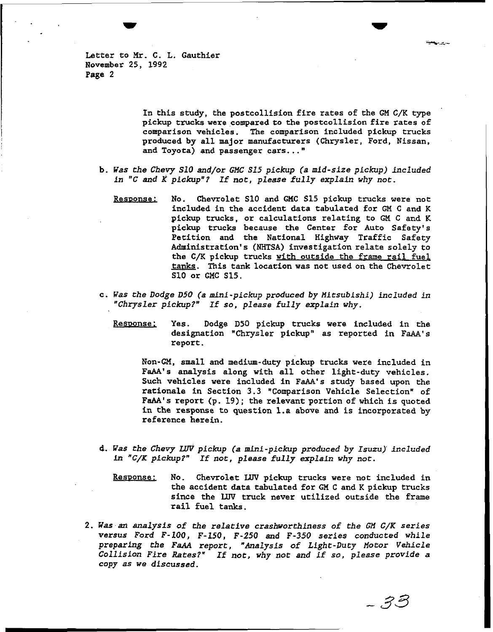Letter to **Mr.** C. L. Gauthier November 25, 1992 Page **2** 

> In this study, the postcollision fire rates of the GM C/K type pickup trucks were compared to the postcollision fire rates of comparison vehicles. The comparison included pickup trucks produced by all major manufacturers (Chrysler, Ford, Nissan, and Toyota) and passenger cars..."

- b. Was the Chevy *S10* and/or GMC *S15* pickup *la* mid-size pickup) included *fn "C* and K pickup"? If not, please fully explain why not.
	- Response: No. Chevrolet S10 and GMC S15 pickup trucks were not included in the accident data tabulated for GM C and K pickup trucks, or calculations relating to GM **C** and K pickup trucks because the Center for Auto Safety's Petition and the National Highway Traffic Safety Administration's (NHTSA) investigation relate solely to the C/K pickup trucks with outside the frame rail fuel tanks. This tank location was not used on the Chevrolet **S10** or **GHC** S15.
- C. *Was* the Dodge *050* (a mini-pickup produced by Mitsubishi) included in "Chrysler pickup?" If so, please fully explain why.
	- Response: Yes. Dodge D50 pickup trucks were included in the designation "Chrysler pickup" as reported in **FaAA's**  report.

Non-GM, small and medium-duty pickup trucks were included in FaAA's analysis along with all other light-duty vehicles. Such vehicles were included in FaAA's study based upon the rationale in Section **3.3** "Comparison Vehicle Selection" of **FaAA's** report (p. 19); the relevant portion of which is quoted in the response to question 1.a above and is incorporated by reference herein.

- **d.** Was the Chevy *Lw* pickup (a mini-pickup produced by Isuzu) included in "C/K pickup?" If not, please fully explain why not.
	- Response: No. Chevrolet LUV pickup trucks were not included in the accident data tabulated for GM C and K pickup trucks since the LUV truck never utilized outside the frame rail fuel tanks.
- 2. **Was** an analysis of the relative crashvorthiness of the *GM C/K* series versus Ford F-100, F-150, F-250 and F-350 series conducted while preparing the *FaAA* report, "Analysis of Light-Duty Motor Vehicle Collision Fire Rates?" If not, why not and if so, please provide a copy as we discussed.

- 33

يسارف موراة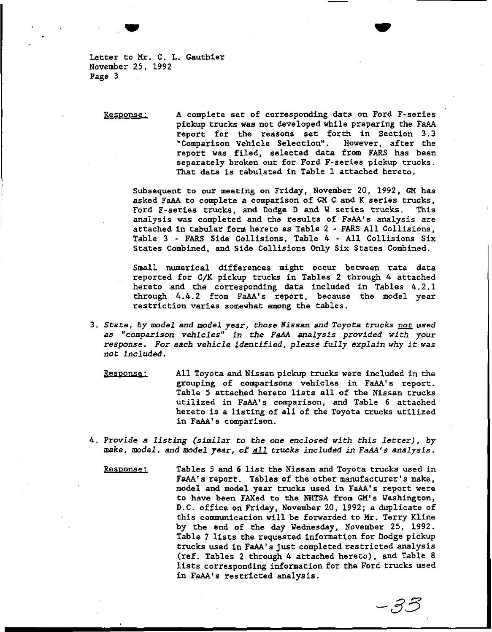**Letter to Mr. C. L. Gauthier November 25, 1992 Page 3** 

**Resoonse** ; **A complete set of corresponding data on Ford F-series pickup trucks was not developed while preparing the FaAA report for the reasons set forth in Section 3.3**  "Comparison Vehicle Selection". **report was filed, selected data from FARS has been separately broken out for Ford F-series pickup trucks. That data is tabulated in Table 1 attached hereto.** 

**Subsequent to our meeting on Friday, November 20, 1992, GM has asked FaAA to complete a comparison of GH C and K series trucks, Ford F-series trucks, and Dodge D and W series trucks. This analysis was completed and the results of FaAA's analysis are attached in tabular form hereto as Table 2** - **FARS All Collisions, Table 3** - **FARS Side Collisions, Table** *4* - **All Collisions Six States Combined, and Side Collisions Only Six States Combined.** 

**Small numerical differences might occur between rate data reported for C/K pickup trucks in Tables 2 through** *4* **attached hereto and the corresponding data included in Tables 4.2.1 through** *4.4.2* **from FaAA's report, because the model year restriction varies somewhat among the tables.** 

- **3. State, by model and model year, those Nissan and Toyota trucks** *not* **used as "comparison vehicles" in the** *FaAA* **analysis provided with your response. For each vehicle identified, please fully explain why it was not included.** 
	- **Resoonse** : **All Toyota and Nissan pickup trucks were included in the**  grouping of comparisons vehicles in FaAA's report. **Table 5 attached hereto lists all of the Nissan trucks utilized in FaAA's comparison, and Table 6 attached hereto is a listing of all of the Toyota trucks utilized**  in FaAA's comparison.
- **4. Provide a listing (similar to the** *one* **enclosed with this letter), by trucks included in FaAA's analysis. make, model, and model year, of** 
	- **Tables 5 and 6 list the Nissan and Toyota trucks used in**  FaAA's report. Tables of the other manufacturer's make, model and model year trucks used in FaAA's report were **to have been FAXed to the NHTSA from GM's Washington, D.C. office on Friday, November 20, 1992; a duplicate of this communication will be forwarded to Mr. Terry Kline by the end of the day Wednesday, November 25, 1992. Table 7 lists** *the* **requested information for Dodge pickup trucks used in Fa's just completed restricted analysis (ref. Tables 2 through** *4* **attached hereto), and Table 8 lists corresponding information for the Ford trucks used in FaAA's restricted analysis. Pesoonse** :

ー33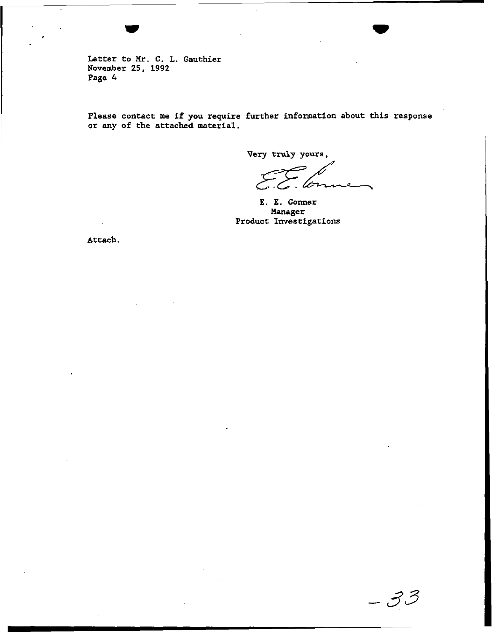**Letter to** *Mr.* **C. L. Gauthier November 25, 1992 Page** *4* 

**Please contact me if you require further information about this response or any of the attached material.** 

**Very truly yours,** 

- 33

**E. E. Comer Manager Product Investigations** 

**Attach.**